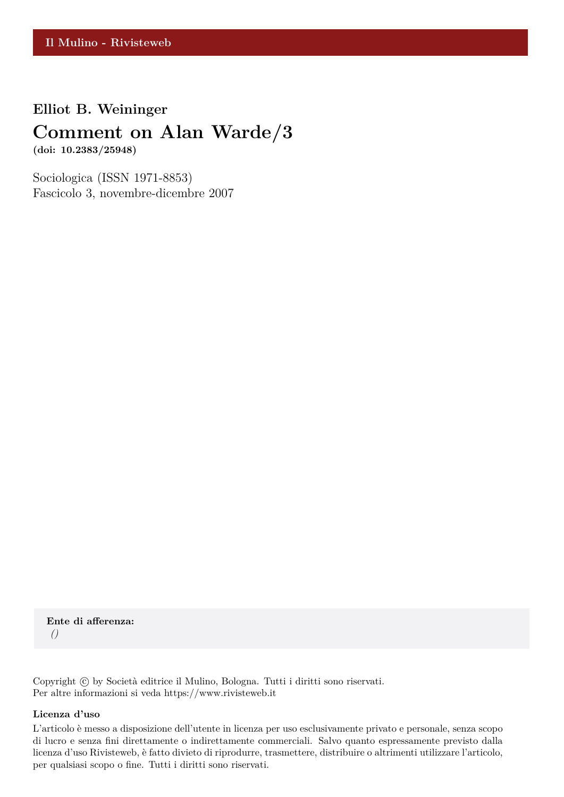## **Elliot B. Weininger**

# **Comment on Alan Warde/3**

**(doi: 10.2383/25948)**

Sociologica (ISSN 1971-8853) Fascicolo 3, novembre-dicembre 2007

**Ente di afferenza:** *()*

Copyright © by Società editrice il Mulino, Bologna. Tutti i diritti sono riservati. Per altre informazioni si veda https://www.rivisteweb.it

#### **Licenza d'uso**

L'articolo è messo a disposizione dell'utente in licenza per uso esclusivamente privato e personale, senza scopo di lucro e senza fini direttamente o indirettamente commerciali. Salvo quanto espressamente previsto dalla licenza d'uso Rivisteweb, è fatto divieto di riprodurre, trasmettere, distribuire o altrimenti utilizzare l'articolo, per qualsiasi scopo o fine. Tutti i diritti sono riservati.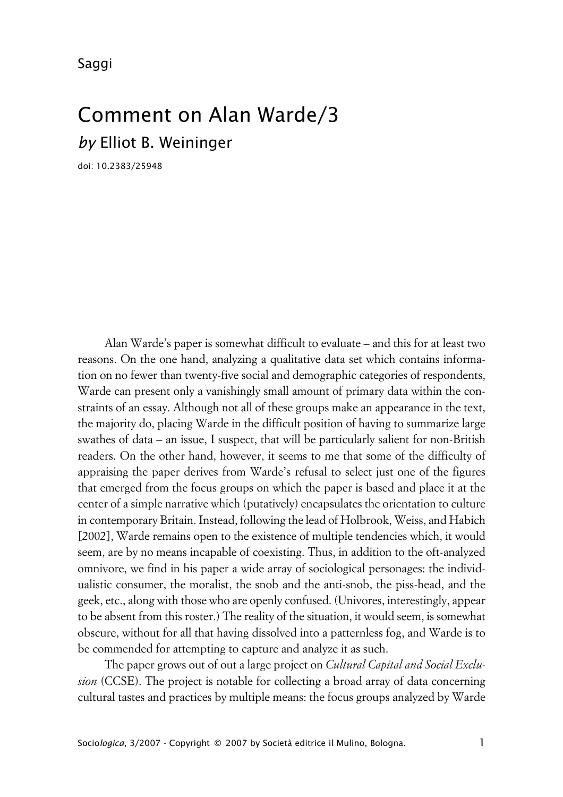Saggi

# Comment on Alan Warde/3 *by* Elliot B. Weininger

doi: 10.2383/25948

Alan Warde's paper is somewhat difficult to evaluate – and this for at least two reasons. On the one hand, analyzing a qualitative data set which contains information on no fewer than twenty-five social and demographic categories of respondents, Warde can present only a vanishingly small amount of primary data within the constraints of an essay. Although not all of these groups make an appearance in the text, the majority do, placing Warde in the difficult position of having to summarize large swathes of data – an issue, I suspect, that will be particularly salient for non-British readers. On the other hand, however, it seems to me that some of the difficulty of appraising the paper derives from Warde's refusal to select just one of the figures that emerged from the focus groups on which the paper is based and place it at the center of a simple narrative which (putatively) encapsulates the orientation to culture in contemporary Britain. Instead, following the lead of Holbrook, Weiss, and Habich [2002], Warde remains open to the existence of multiple tendencies which, it would seem, are by no means incapable of coexisting. Thus, in addition to the oft-analyzed omnivore, we find in his paper a wide array of sociological personages: the individualistic consumer, the moralist, the snob and the anti-snob, the piss-head, and the geek, etc., along with those who are openly confused. (Univores, interestingly, appear to be absent from this roster.) The reality of the situation, it would seem, is somewhat obscure, without for all that having dissolved into a patternless fog, and Warde is to be commended for attempting to capture and analyze it as such.

The paper grows out of out a large project on *Cultural Capital and Social Exclusion* (CCSE). The project is notable for collecting a broad array of data concerning cultural tastes and practices by multiple means: the focus groups analyzed by Warde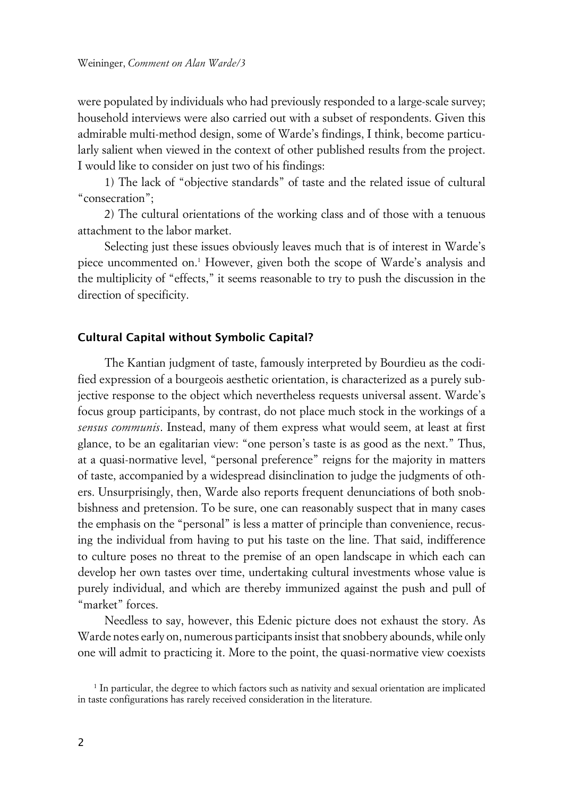were populated by individuals who had previously responded to a large-scale survey; household interviews were also carried out with a subset of respondents. Given this admirable multi-method design, some of Warde's findings, I think, become particularly salient when viewed in the context of other published results from the project. I would like to consider on just two of his findings:

1) The lack of "objective standards" of taste and the related issue of cultural "consecration";

2) The cultural orientations of the working class and of those with a tenuous attachment to the labor market.

Selecting just these issues obviously leaves much that is of interest in Warde's piece uncommented on.<sup>1</sup> However, given both the scope of Warde's analysis and the multiplicity of "effects," it seems reasonable to try to push the discussion in the direction of specificity.

#### **xCultural Capital without Symbolic Capital?**

The Kantian judgment of taste, famously interpreted by Bourdieu as the codified expression of a bourgeois aesthetic orientation, is characterized as a purely subjective response to the object which nevertheless requests universal assent. Warde's focus group participants, by contrast, do not place much stock in the workings of a *sensus communis*. Instead, many of them express what would seem, at least at first glance, to be an egalitarian view: "one person's taste is as good as the next." Thus, at a quasi-normative level, "personal preference" reigns for the majority in matters of taste, accompanied by a widespread disinclination to judge the judgments of others. Unsurprisingly, then, Warde also reports frequent denunciations of both snobbishness and pretension. To be sure, one can reasonably suspect that in many cases the emphasis on the "personal" is less a matter of principle than convenience, recusing the individual from having to put his taste on the line. That said, indifference to culture poses no threat to the premise of an open landscape in which each can develop her own tastes over time, undertaking cultural investments whose value is purely individual, and which are thereby immunized against the push and pull of "market" forces.

Needless to say, however, this Edenic picture does not exhaust the story. As Warde notes early on, numerous participants insist that snobbery abounds, while only one will admit to practicing it. More to the point, the quasi-normative view coexists

<sup>1</sup> In particular, the degree to which factors such as nativity and sexual orientation are implicated in taste configurations has rarely received consideration in the literature.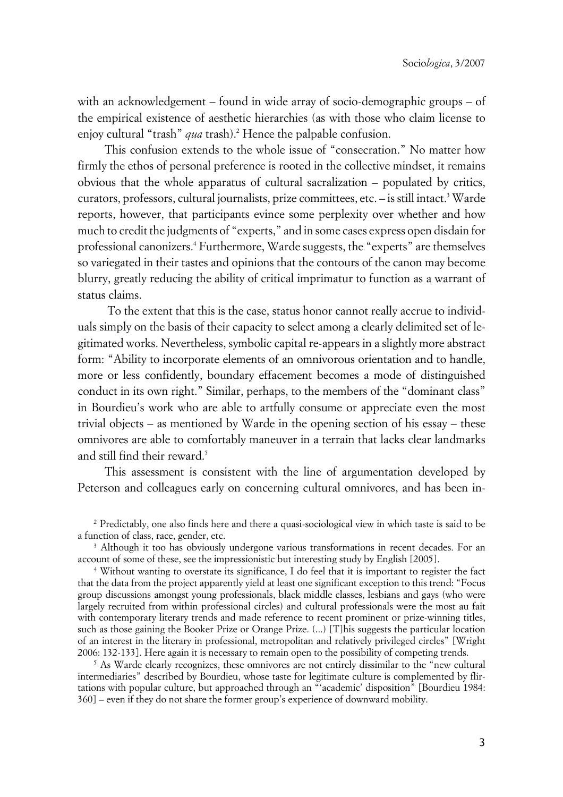with an acknowledgement – found in wide array of socio-demographic groups – of the empirical existence of aesthetic hierarchies (as with those who claim license to enjoy cultural "trash" *qua* trash).<sup>2</sup> Hence the palpable confusion.

This confusion extends to the whole issue of "consecration." No matter how firmly the ethos of personal preference is rooted in the collective mindset, it remains obvious that the whole apparatus of cultural sacralization – populated by critics, curators, professors, cultural journalists, prize committees, etc. – is still intact.<sup>3</sup> Warde reports, however, that participants evince some perplexity over whether and how much to credit the judgments of "experts," and in some cases express open disdain for professional canonizers.<sup>4</sup> Furthermore, Warde suggests, the "experts" are themselves so variegated in their tastes and opinions that the contours of the canon may become blurry, greatly reducing the ability of critical imprimatur to function as a warrant of status claims.

 To the extent that this is the case, status honor cannot really accrue to individuals simply on the basis of their capacity to select among a clearly delimited set of legitimated works. Nevertheless, symbolic capital re-appears in a slightly more abstract form: "Ability to incorporate elements of an omnivorous orientation and to handle, more or less confidently, boundary effacement becomes a mode of distinguished conduct in its own right." Similar, perhaps, to the members of the "dominant class" in Bourdieu's work who are able to artfully consume or appreciate even the most trivial objects – as mentioned by Warde in the opening section of his essay – these omnivores are able to comfortably maneuver in a terrain that lacks clear landmarks and still find their reward.<sup>5</sup>

This assessment is consistent with the line of argumentation developed by Peterson and colleagues early on concerning cultural omnivores, and has been in-

<sup>2</sup> Predictably, one also finds here and there a quasi-sociological view in which taste is said to be a function of class, race, gender, etc.

<sup>&</sup>lt;sup>3</sup> Although it too has obviously undergone various transformations in recent decades. For an account of some of these, see the impressionistic but interesting study by English [2005].

<sup>4</sup> Without wanting to overstate its significance, I do feel that it is important to register the fact that the data from the project apparently yield at least one significant exception to this trend: "Focus group discussions amongst young professionals, black middle classes, lesbians and gays (who were largely recruited from within professional circles) and cultural professionals were the most au fait with contemporary literary trends and made reference to recent prominent or prize-winning titles, such as those gaining the Booker Prize or Orange Prize. (...) [T]his suggests the particular location of an interest in the literary in professional, metropolitan and relatively privileged circles" [Wright 2006: 132-133]. Here again it is necessary to remain open to the possibility of competing trends.

<sup>5</sup> As Warde clearly recognizes, these omnivores are not entirely dissimilar to the "new cultural intermediaries" described by Bourdieu, whose taste for legitimate culture is complemented by flirtations with popular culture, but approached through an "'academic' disposition" [Bourdieu 1984: 360] – even if they do not share the former group's experience of downward mobility.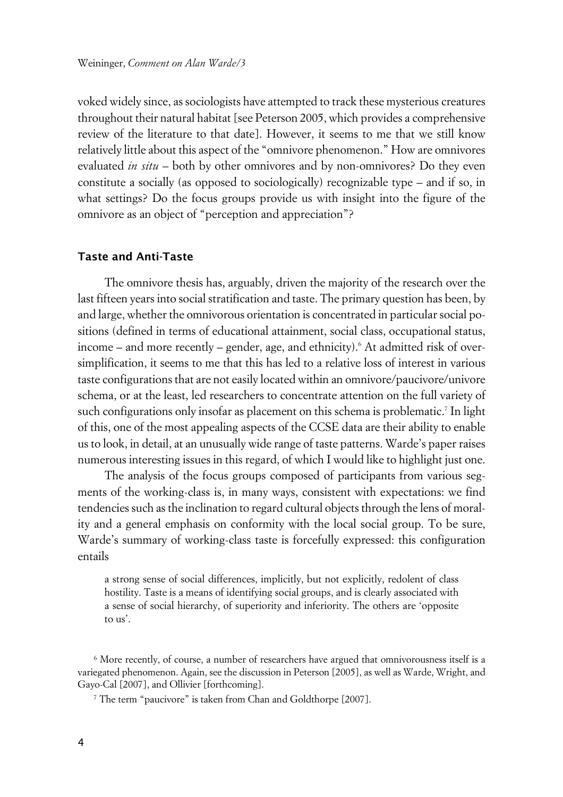voked widely since, as sociologists have attempted to track these mysterious creatures throughout their natural habitat [see Peterson 2005, which provides a comprehensive review of the literature to that date]. However, it seems to me that we still know relatively little about this aspect of the "omnivore phenomenon." How are omnivores evaluated *in situ* – both by other omnivores and by non-omnivores? Do they even constitute a socially (as opposed to sociologically) recognizable type – and if so, in what settings? Do the focus groups provide us with insight into the figure of the omnivore as an object of "perception and appreciation"?

#### **xTaste and Anti-Taste**

The omnivore thesis has, arguably, driven the majority of the research over the last fifteen years into social stratification and taste. The primary question has been, by and large, whether the omnivorous orientation is concentrated in particular social positions (defined in terms of educational attainment, social class, occupational status, income – and more recently – gender, age, and ethnicity).<sup>6</sup> At admitted risk of oversimplification, it seems to me that this has led to a relative loss of interest in various taste configurations that are not easily located within an omnivore/paucivore/univore schema, or at the least, led researchers to concentrate attention on the full variety of such configurations only insofar as placement on this schema is problematic.<sup>7</sup> In light of this, one of the most appealing aspects of the CCSE data are their ability to enable us to look, in detail, at an unusually wide range of taste patterns. Warde's paper raises numerous interesting issues in this regard, of which I would like to highlight just one.

The analysis of the focus groups composed of participants from various segments of the working-class is, in many ways, consistent with expectations: we find tendencies such as the inclination to regard cultural objects through the lens of morality and a general emphasis on conformity with the local social group. To be sure, Warde's summary of working-class taste is forcefully expressed: this configuration entails

a strong sense of social differences, implicitly, but not explicitly, redolent of class hostility. Taste is a means of identifying social groups, and is clearly associated with a sense of social hierarchy, of superiority and inferiority. The others are 'opposite to us'.

<sup>6</sup> More recently, of course, a number of researchers have argued that omnivorousness itself is a variegated phenomenon. Again, see the discussion in Peterson [2005], as well as Warde, Wright, and Gayo-Cal [2007], and Ollivier [forthcoming].

<sup>&</sup>lt;sup>7</sup> The term "paucivore" is taken from Chan and Goldthorpe [2007].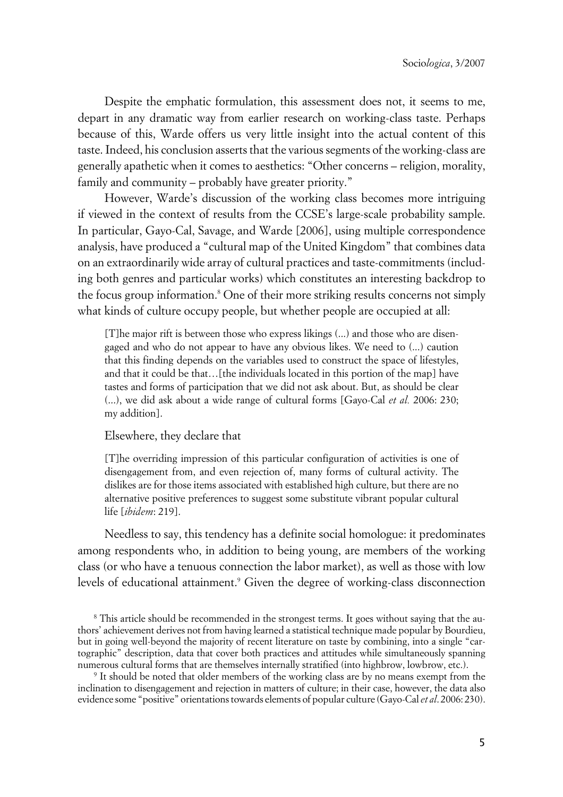Despite the emphatic formulation, this assessment does not, it seems to me, depart in any dramatic way from earlier research on working-class taste. Perhaps because of this, Warde offers us very little insight into the actual content of this taste. Indeed, his conclusion asserts that the various segments of the working-class are generally apathetic when it comes to aesthetics: "Other concerns – religion, morality, family and community – probably have greater priority."

However, Warde's discussion of the working class becomes more intriguing if viewed in the context of results from the CCSE's large-scale probability sample. In particular, Gayo-Cal, Savage, and Warde [2006], using multiple correspondence analysis, have produced a "cultural map of the United Kingdom" that combines data on an extraordinarily wide array of cultural practices and taste-commitments (including both genres and particular works) which constitutes an interesting backdrop to the focus group information.<sup>8</sup> One of their more striking results concerns not simply what kinds of culture occupy people, but whether people are occupied at all:

[T]he major rift is between those who express likings (...) and those who are disengaged and who do not appear to have any obvious likes. We need to (...) caution that this finding depends on the variables used to construct the space of lifestyles, and that it could be that…[the individuals located in this portion of the map] have tastes and forms of participation that we did not ask about. But, as should be clear (...), we did ask about a wide range of cultural forms [Gayo-Cal *et al.* 2006: 230; my addition].

#### Elsewhere, they declare that

[T]he overriding impression of this particular configuration of activities is one of disengagement from, and even rejection of, many forms of cultural activity. The dislikes are for those items associated with established high culture, but there are no alternative positive preferences to suggest some substitute vibrant popular cultural life [*ibidem*: 219].

Needless to say, this tendency has a definite social homologue: it predominates among respondents who, in addition to being young, are members of the working class (or who have a tenuous connection the labor market), as well as those with low levels of educational attainment.<sup>9</sup> Given the degree of working-class disconnection

<sup>&</sup>lt;sup>8</sup> This article should be recommended in the strongest terms. It goes without saying that the authors' achievement derives not from having learned a statistical technique made popular by Bourdieu, but in going well-beyond the majority of recent literature on taste by combining, into a single "cartographic" description, data that cover both practices and attitudes while simultaneously spanning numerous cultural forms that are themselves internally stratified (into highbrow, lowbrow, etc.).

<sup>9</sup> It should be noted that older members of the working class are by no means exempt from the inclination to disengagement and rejection in matters of culture; in their case, however, the data also evidence some "positive" orientations towards elements of popular culture (Gayo-Cal *et al*. 2006: 230).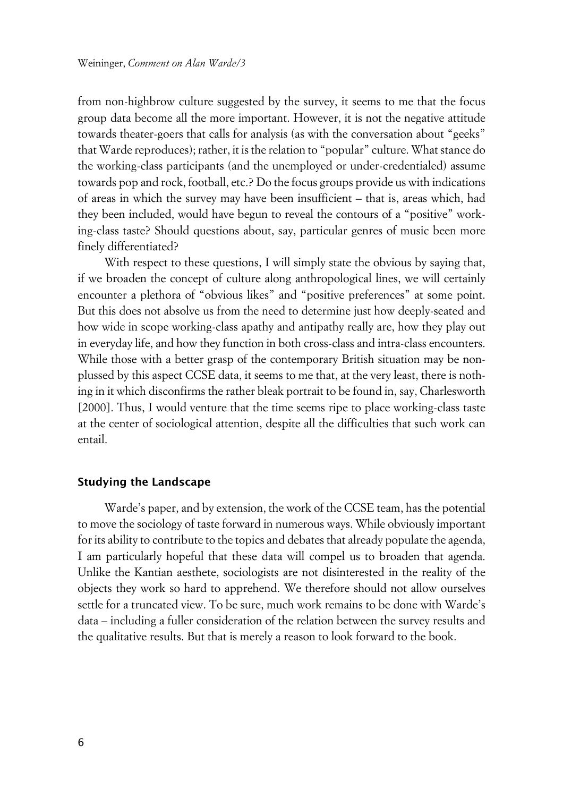from non-highbrow culture suggested by the survey, it seems to me that the focus group data become all the more important. However, it is not the negative attitude towards theater-goers that calls for analysis (as with the conversation about "geeks" that Warde reproduces); rather, it is the relation to "popular" culture. What stance do the working-class participants (and the unemployed or under-credentialed) assume towards pop and rock, football, etc.? Do the focus groups provide us with indications of areas in which the survey may have been insufficient – that is, areas which, had they been included, would have begun to reveal the contours of a "positive" working-class taste? Should questions about, say, particular genres of music been more finely differentiated?

With respect to these questions, I will simply state the obvious by saying that, if we broaden the concept of culture along anthropological lines, we will certainly encounter a plethora of "obvious likes" and "positive preferences" at some point. But this does not absolve us from the need to determine just how deeply-seated and how wide in scope working-class apathy and antipathy really are, how they play out in everyday life, and how they function in both cross-class and intra-class encounters. While those with a better grasp of the contemporary British situation may be nonplussed by this aspect CCSE data, it seems to me that, at the very least, there is nothing in it which disconfirms the rather bleak portrait to be found in, say, Charlesworth [2000]. Thus, I would venture that the time seems ripe to place working-class taste at the center of sociological attention, despite all the difficulties that such work can entail.

#### **Studying the Landscape**

Warde's paper, and by extension, the work of the CCSE team, has the potential to move the sociology of taste forward in numerous ways. While obviously important for its ability to contribute to the topics and debates that already populate the agenda, I am particularly hopeful that these data will compel us to broaden that agenda. Unlike the Kantian aesthete, sociologists are not disinterested in the reality of the objects they work so hard to apprehend. We therefore should not allow ourselves settle for a truncated view. To be sure, much work remains to be done with Warde's data – including a fuller consideration of the relation between the survey results and the qualitative results. But that is merely a reason to look forward to the book.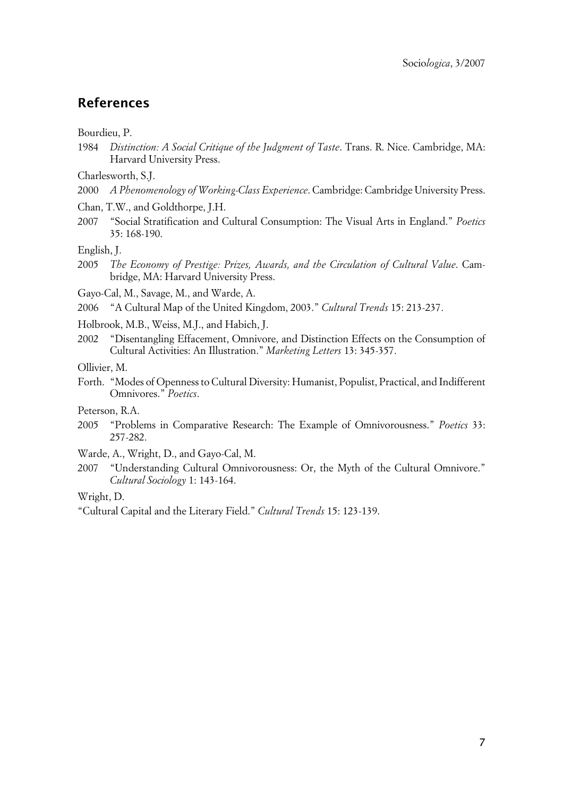# **References**

Bourdieu, P.

1984 *Distinction: A Social Critique of the Judgment of Taste*. Trans. R. Nice. Cambridge, MA: Harvard University Press.

Charlesworth, S.J.

- 2000 *A Phenomenology of Working-Class Experience*. Cambridge: Cambridge University Press.
- Chan, T.W., and Goldthorpe, J.H.
- 2007 "Social Stratification and Cultural Consumption: The Visual Arts in England." *Poetics* 35: 168-190.

English, J.

2005 *The Economy of Prestige: Prizes, Awards, and the Circulation of Cultural Value*. Cambridge, MA: Harvard University Press.

Gayo-Cal, M., Savage, M., and Warde, A.

2006 "A Cultural Map of the United Kingdom, 2003." *Cultural Trends* 15: 213-237.

Holbrook, M.B., Weiss, M.J., and Habich, J.

2002 "Disentangling Effacement, Omnivore, and Distinction Effects on the Consumption of Cultural Activities: An Illustration." *Marketing Letters* 13: 345-357.

Ollivier, M.

Forth. "Modes of Openness to Cultural Diversity: Humanist, Populist, Practical, and Indifferent Omnivores." *Poetics*.

Peterson, R.A.

2005 "Problems in Comparative Research: The Example of Omnivorousness." *Poetics* 33: 257-282.

Warde, A., Wright, D., and Gayo-Cal, M.

2007 "Understanding Cultural Omnivorousness: Or, the Myth of the Cultural Omnivore." *Cultural Sociology* 1: 143-164.

Wright, D.

"Cultural Capital and the Literary Field." *Cultural Trends* 15: 123-139.